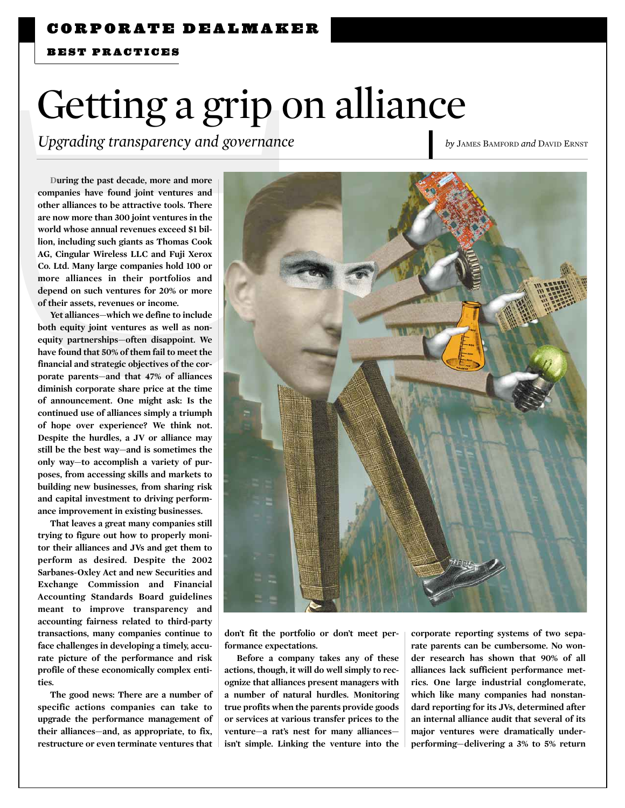BEST PRACTICES

# Getting a grip on alliance

*Upgrading transparency and governance* **by JAMES BAMFORD** *and DAVID ERNST* 

During the past decade, more and more companies have found joint ventures and other alliances to be attractive tools. There are now more than 300 joint ventures in the world whose annual revenues exceed \$1 billion, including such giants as Thomas Cook AG, Cingular Wireless LLC and Fuji Xerox Co. Ltd. Many large companies hold 100 or more alliances in their portfolios and depend on such ventures for 20% or more of their assets, revenues or income.

Yet alliances—which we define to include both equity joint ventures as well as nonequity partnerships—often disappoint. We have found that 50% of them fail to meet the financial and strategic objectives of the corporate parents—and that 47% of alliances diminish corporate share price at the time of announcement. One might ask: Is the continued use of alliances simply a triumph of hope over experience? We think not. Despite the hurdles, a JV or alliance may still be the best way—and is sometimes the only way—to accomplish a variety of purposes, from accessing skills and markets to building new businesses, from sharing risk and capital investment to driving performance improvement in existing businesses.

That leaves a great many companies still trying to figure out how to properly monitor their alliances and JVs and get them to perform as desired. Despite the 2002 Sarbanes-Oxley Act and new Securities and Exchange Commission and Financial Accounting Standards Board guidelines meant to improve transparency and accounting fairness related to third-party transactions, many companies continue to face challenges in developing a timely, accurate picture of the performance and risk profile of these economically complex entities.

The good news: There are a number of specific actions companies can take to upgrade the performance management of their alliances—and, as appropriate, to fix, restructure or even terminate ventures that



don't fit the portfolio or don't meet performance expectations.

Before a company takes any of these actions, though, it will do well simply to recognize that alliances present managers with a number of natural hurdles. Monitoring true profits when the parents provide goods or services at various transfer prices to the venture—a rat's nest for many alliances isn't simple. Linking the venture into the

corporate reporting systems of two separate parents can be cumbersome. No wonder research has shown that 90% of all alliances lack sufficient performance metrics. One large industrial conglomerate, which like many companies had nonstandard reporting for its JVs, determined after an internal alliance audit that several of its major ventures were dramatically underperforming—delivering a 3% to 5% return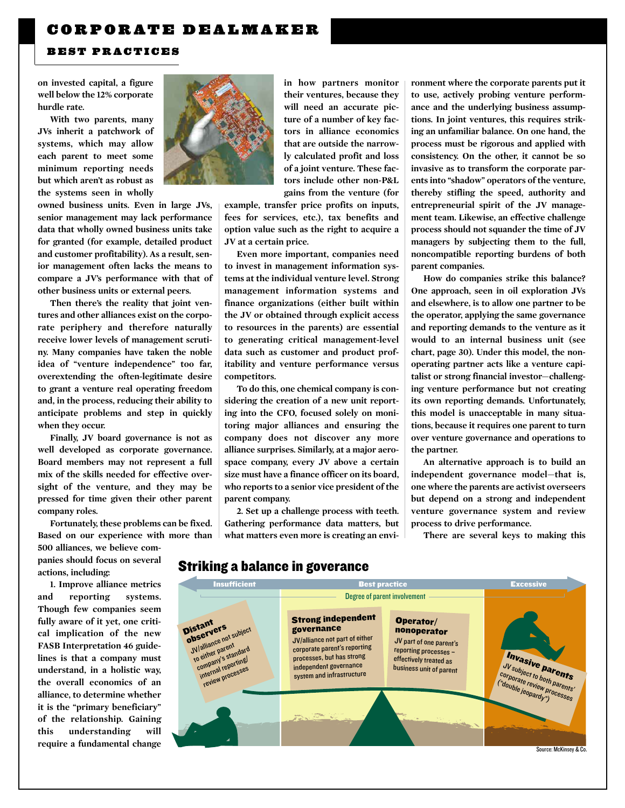## BEST PRACTICES

on invested capital, a figure well below the 12% corporate hurdle rate.

With two parents, many JVs inherit a patchwork of systems, which may allow each parent to meet some minimum reporting needs but which aren't as robust as the systems seen in wholly

owned business units. Even in large JVs, senior management may lack performance data that wholly owned business units take for granted (for example, detailed product and customer profitability). As a result, senior management often lacks the means to compare a JV's performance with that of other business units or external peers.

Then there's the reality that joint ventures and other alliances exist on the corporate periphery and therefore naturally receive lower levels of management scrutiny. Many companies have taken the noble idea of "venture independence" too far, overextending the often-legitimate desire to grant a venture real operating freedom and, in the process, reducing their ability to anticipate problems and step in quickly when they occur.

Finally, JV board governance is not as well developed as corporate governance. Board members may not represent a full mix of the skills needed for effective oversight of the venture, and they may be pressed for time given their other parent company roles.

Fortunately, these problems can be fixed. Based on our experience with more than 500 alliances, we believe companies should focus on several actions, including:

1. Improve alliance metrics and reporting systems. Though few companies seem fully aware of it yet, one critical implication of the new FASB Interpretation 46 guidelines is that a company must understand, in a holistic way, the overall economics of an alliance, to determine whether it is the "primary beneficiary" of the relationship. Gaining this understanding will require a fundamental change



their ventures, because they will need an accurate picture of a number of key factors in alliance economics that are outside the narrowly calculated profit and loss of a joint venture. These factors include other non-P&L gains from the venture (for

example, transfer price profits on inputs, fees for services, etc.), tax benefits and option value such as the right to acquire a JV at a certain price.

Even more important, companies need to invest in management information systems at the individual venture level. Strong management information systems and finance organizations (either built within the JV or obtained through explicit access to resources in the parents) are essential to generating critical management-level data such as customer and product profitability and venture performance versus competitors.

To do this, one chemical company is considering the creation of a new unit reporting into the CFO, focused solely on monitoring major alliances and ensuring the company does not discover any more alliance surprises. Similarly, at a major aerospace company, every JV above a certain size must have a finance officer on its board, who reports to a senior vice president of the parent company.

2. Set up a challenge process with teeth. Gathering performance data matters, but what matters even more is creating an environment where the corporate parents put it to use, actively probing venture performance and the underlying business assumptions. In joint ventures, this requires striking an unfamiliar balance. On one hand, the process must be rigorous and applied with consistency. On the other, it cannot be so invasive as to transform the corporate parents into "shadow" operators of the venture, thereby stifling the speed, authority and entrepreneurial spirit of the JV management team. Likewise, an effective challenge process should not squander the time of JV managers by subjecting them to the full, noncompatible reporting burdens of both parent companies.

How do companies strike this balance? One approach, seen in oil exploration JVs and elsewhere, is to allow one partner to be the operator, applying the same governance and reporting demands to the venture as it would to an internal business unit (see chart, page 30). Under this model, the nonoperating partner acts like a venture capitalist or strong financial investor—challenging venture performance but not creating its own reporting demands. Unfortunately, this model is unacceptable in many situations, because it requires one parent to turn over venture governance and operations to the partner.

An alternative approach is to build an independent governance model—that is, one where the parents are activist overseers but depend on a strong and independent venture governance system and review process to drive performance.

There are several keys to making this

## Striking a balance in goverance

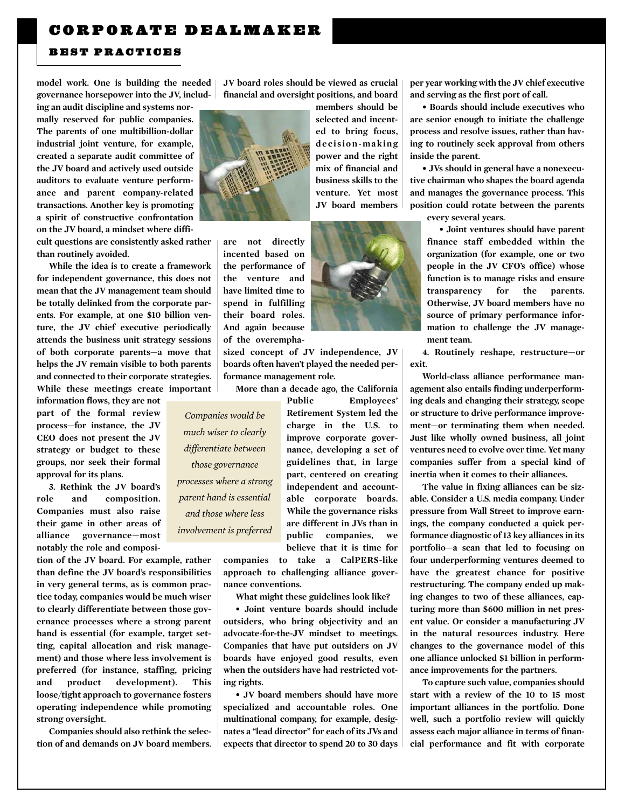#### BEST PRACTICES

model work. One is building the needed governance horsepower into the JV, includ-

ing an audit discipline and systems normally reserved for public companies. The parents of one multibillion-dollar industrial joint venture, for example, created a separate audit committee of the JV board and actively used outside auditors to evaluate venture performance and parent company-related transactions. Another key is promoting a spirit of constructive confrontation on the JV board, a mindset where diffi-

cult questions are consistently asked rather than routinely avoided.

While the idea is to create a framework for independent governance, this does not mean that the JV management team should be totally delinked from the corporate parents. For example, at one \$10 billion venture, the JV chief executive periodically attends the business unit strategy sessions of both corporate parents—a move that helps the JV remain visible to both parents and connected to their corporate strategies. While these meetings create important

information flows, they are not part of the formal review process—for instance, the JV CEO does not present the JV strategy or budget to these groups, nor seek their formal approval for its plans.

3. Rethink the JV board's role and composition. Companies must also raise their game in other areas of alliance governance—most notably the role and composi-

tion of the JV board. For example, rather than define the JV board's responsibilities in very general terms, as is common practice today, companies would be much wiser to clearly differentiate between those governance processes where a strong parent hand is essential (for example, target setting, capital allocation and risk management) and those where less involvement is preferred (for instance, staffing, pricing and product development). This loose/tight approach to governance fosters operating independence while promoting strong oversight.

Companies should also rethink the selection of and demands on JV board members. JV board roles should be viewed as crucial financial and oversight positions, and board



are not directly incented based on the performance of the venture and have limited time to spend in fulfilling their board roles. And again because of the overempha-

sized concept of JV independence, JV boards often haven't played the needed performance management role.

More than a decade ago, the California

*Companies would be much wiser to clearly differentiate between those governance*

*processes where a strong parent hand is essential and those where less involvement is preferred*

Public Employees' Retirement System led the charge in the U.S. to improve corporate governance, developing a set of guidelines that, in large part, centered on creating independent and accountable corporate boards. While the governance risks are different in JVs than in public companies, we believe that it is time for

companies to take a CalPERS-like approach to challenging alliance governance conventions.

What might these guidelines look like?

• Joint venture boards should include outsiders, who bring objectivity and an advocate-for-the-JV mindset to meetings. Companies that have put outsiders on JV boards have enjoyed good results, even when the outsiders have had restricted voting rights.

• JV board members should have more specialized and accountable roles. One multinational company, for example, designates a "lead director" for each of its JVs and expects that director to spend 20 to 30 days

per year working with the JV chief executive and serving as the first port of call.

• Boards should include executives who are senior enough to initiate the challenge process and resolve issues, rather than having to routinely seek approval from others inside the parent.

• JVs should in general have a nonexecutive chairman who shapes the board agenda and manages the governance process. This position could rotate between the parents

every several years.

• Joint ventures should have parent finance staff embedded within the organization (for example, one or two people in the JV CFO's office) whose function is to manage risks and ensure transparency for the parents. Otherwise, JV board members have no source of primary performance information to challenge the JV management team.

4. Routinely reshape, restructure—or exit.

World-class alliance performance management also entails finding underperforming deals and changing their strategy, scope or structure to drive performance improvement—or terminating them when needed. Just like wholly owned business, all joint ventures need to evolve over time. Yet many companies suffer from a special kind of inertia when it comes to their alliances.

The value in fixing alliances can be sizable. Consider a U.S. media company. Under pressure from Wall Street to improve earnings, the company conducted a quick performance diagnostic of 13 key alliances in its portfolio—a scan that led to focusing on four underperforming ventures deemed to have the greatest chance for positive restructuring. The company ended up making changes to two of these alliances, capturing more than \$600 million in net present value. Or consider a manufacturing JV in the natural resources industry. Here changes to the governance model of this one alliance unlocked \$1 billion in performance improvements for the partners.

To capture such value, companies should start with a review of the 10 to 15 most important alliances in the portfolio. Done well, such a portfolio review will quickly assess each major alliance in terms of financial performance and fit with corporate



members should be selected and incented to bring focus, decision-making power and the right mix of financial and business skills to the venture. Yet most JV board members